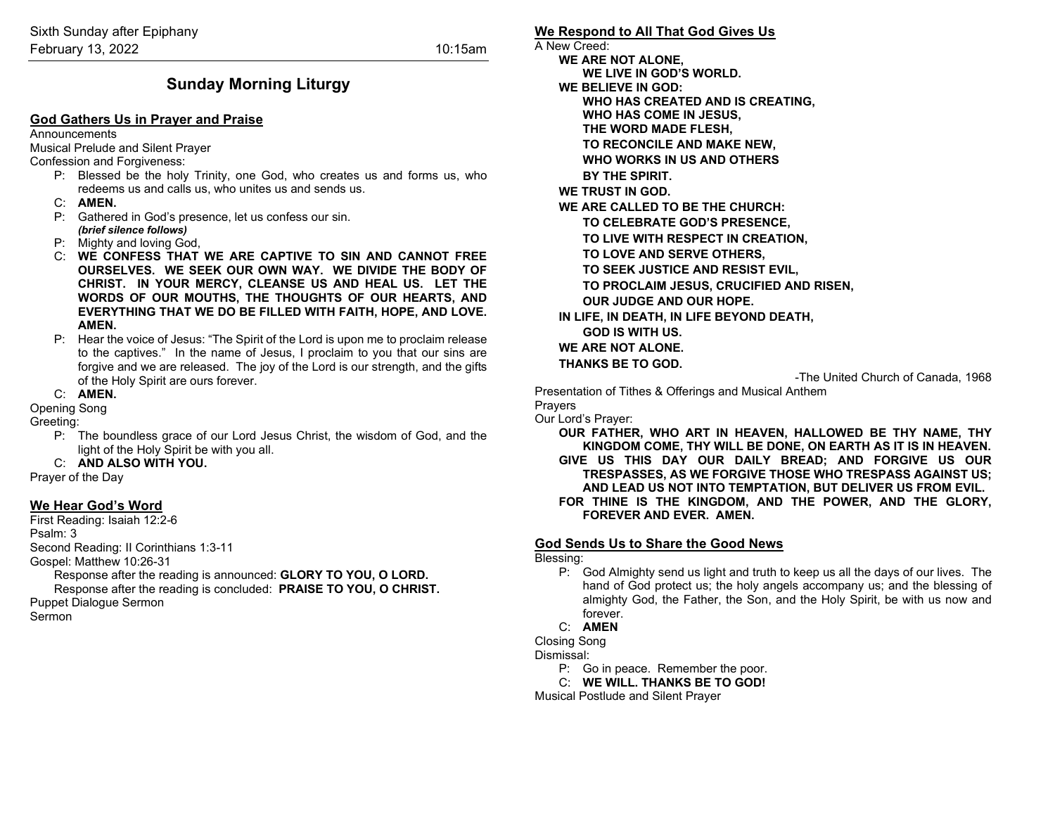# **Sunday Morning Liturgy**

## **God Gathers Us in Prayer and Praise**

Announcements

Musical Prelude and Silent Prayer

Confession and Forgiveness:

- P: Blessed be the holy Trinity, one God, who creates us and forms us, who redeems us and calls us, who unites us and sends us.
- C: **AMEN.**
- P: Gathered in God's presence, let us confess our sin. *(brief silence follows)*
- P: Mighty and loving God,
- C: **WE CONFESS THAT WE ARE CAPTIVE TO SIN AND CANNOT FREE OURSELVES. WE SEEK OUR OWN WAY. WE DIVIDE THE BODY OF CHRIST. IN YOUR MERCY, CLEANSE US AND HEAL US. LET THE WORDS OF OUR MOUTHS, THE THOUGHTS OF OUR HEARTS, AND EVERYTHING THAT WE DO BE FILLED WITH FAITH, HOPE, AND LOVE. AMEN.**
- P: Hear the voice of Jesus: "The Spirit of the Lord is upon me to proclaim release to the captives." In the name of Jesus, I proclaim to you that our sins are forgive and we are released. The joy of the Lord is our strength, and the gifts of the Holy Spirit are ours forever.

C: **AMEN.**

Opening Song

Greeting:

- P: The boundless grace of our Lord Jesus Christ, the wisdom of God, and the light of the Holy Spirit be with you all.
- C: **AND ALSO WITH YOU.**

Prayer of the Day

### **We Hear God's Word**

First Reading: Isaiah 12:2-6 Psalm: 3 Second Reading: II Corinthians 1:3-11 Gospel: Matthew 10:26-31 Response after the reading is announced: **GLORY TO YOU, O LORD.** Response after the reading is concluded: **PRAISE TO YOU, O CHRIST.**

Puppet Dialogue Sermon

Sermon

**We Respond to All That God Gives Us** A New Creed: **WE ARE NOT ALONE, WE LIVE IN GOD'S WORLD. WE BELIEVE IN GOD: WHO HAS CREATED AND IS CREATING, WHO HAS COME IN JESUS, THE WORD MADE FLESH, TO RECONCILE AND MAKE NEW, WHO WORKS IN US AND OTHERS BY THE SPIRIT. WE TRUST IN GOD. WE ARE CALLED TO BE THE CHURCH: TO CELEBRATE GOD'S PRESENCE, TO LIVE WITH RESPECT IN CREATION, TO LOVE AND SERVE OTHERS, TO SEEK JUSTICE AND RESIST EVIL, TO PROCLAIM JESUS, CRUCIFIED AND RISEN, OUR JUDGE AND OUR HOPE. IN LIFE, IN DEATH, IN LIFE BEYOND DEATH, GOD IS WITH US. WE ARE NOT ALONE. THANKS BE TO GOD.**

-The United Church of Canada, 1968

Presentation of Tithes & Offerings and Musical Anthem

Prayers

Our Lord's Prayer:

**OUR FATHER, WHO ART IN HEAVEN, HALLOWED BE THY NAME, THY KINGDOM COME, THY WILL BE DONE, ON EARTH AS IT IS IN HEAVEN. GIVE US THIS DAY OUR DAILY BREAD; AND FORGIVE US OUR TRESPASSES, AS WE FORGIVE THOSE WHO TRESPASS AGAINST US; AND LEAD US NOT INTO TEMPTATION, BUT DELIVER US FROM EVIL. FOR THINE IS THE KINGDOM, AND THE POWER, AND THE GLORY, FOREVER AND EVER. AMEN.**

### **God Sends Us to Share the Good News**

Blessing:

- P: God Almighty send us light and truth to keep us all the days of our lives. The hand of God protect us; the holy angels accompany us; and the blessing of almighty God, the Father, the Son, and the Holy Spirit, be with us now and forever.
- C: **AMEN**
- Closing Song

Dismissal:

- P: Go in peace. Remember the poor.
- C: **WE WILL. THANKS BE TO GOD!**

Musical Postlude and Silent Prayer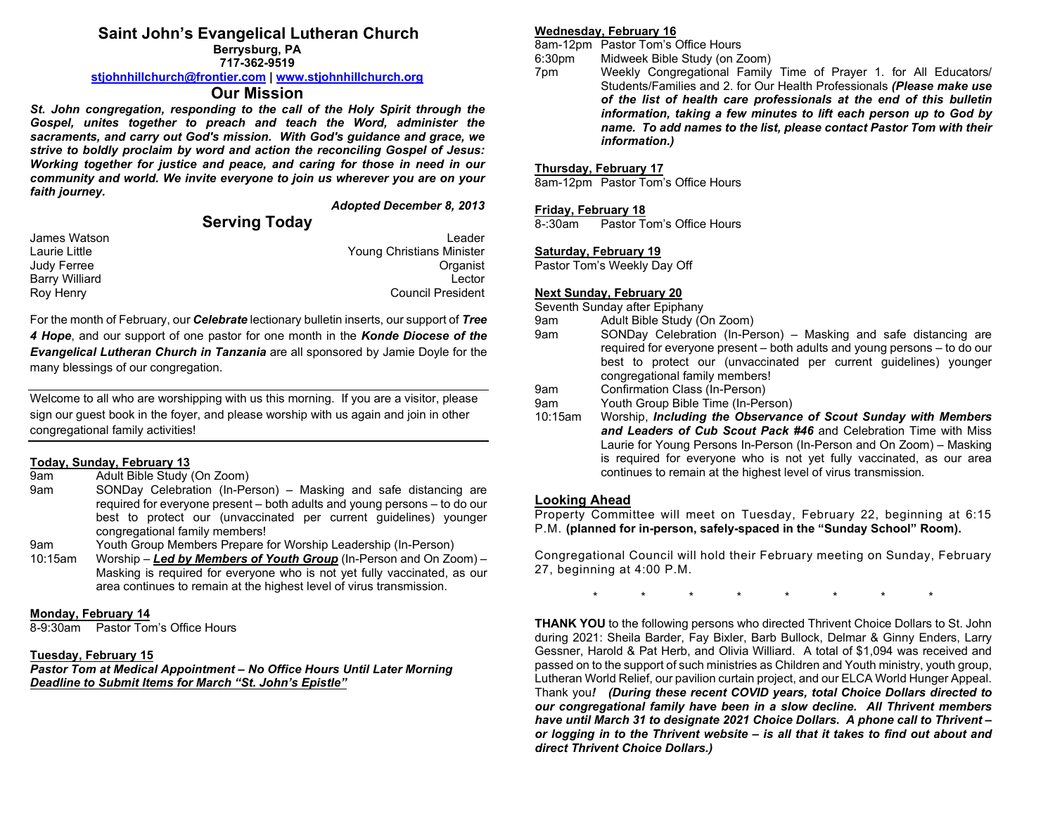## **Saint John's Evangelical Lutheran Church**

**Berrysburg, PA 717-362-9519**

#### **[stjohnhillchurch@frontier.com](mailto:stjohnhillchurch@frontier.com) | [www.stjohnhillchurch.org](http://www.stjohnhillchurch.org/)**

### **Our Mission**

*St. John congregation, responding to the call of the Holy Spirit through the Gospel, unites together to preach and teach the Word, administer the sacraments, and carry out God's mission. With God's guidance and grace, we strive to boldly proclaim by word and action the reconciling Gospel of Jesus: Working together for justice and peace, and caring for those in need in our community and world. We invite everyone to join us wherever you are on your faith journey.*

*Adopted December 8, 2013*

## **Serving Today**

| James Watson          | l eader.                  |
|-----------------------|---------------------------|
| Laurie Little         | Young Christians Minister |
| Judy Ferree           | Organist                  |
| <b>Barry Williard</b> | Lector                    |
| Roy Henry             | <b>Council President</b>  |

For the month of February, our *Celebrate* lectionary bulletin inserts, our support of *Tree 4 Hope*, and our support of one pastor for one month in the *Konde Diocese of the Evangelical Lutheran Church in Tanzania* are all sponsored by Jamie Doyle for the many blessings of our congregation.

Welcome to all who are worshipping with us this morning. If you are a visitor, please sign our guest book in the foyer, and please worship with us again and join in other congregational family activities!

# **Today, Sunday, February 13**

- Adult Bible Study (On Zoom)
- 9am SONDay Celebration (In-Person) Masking and safe distancing are required for everyone present – both adults and young persons – to do our best to protect our (unvaccinated per current guidelines) younger congregational family members!
- 9am Youth Group Members Prepare for Worship Leadership (In-Person)
- 10:15am Worship *Led by Members of Youth Group* (In-Person and On Zoom) Masking is required for everyone who is not yet fully vaccinated, as our area continues to remain at the highest level of virus transmission.

# **Monday, February 14**<br>8-9:30am Pastor Ton

Pastor Tom's Office Hours

#### **Tuesday, February 15**

*Pastor Tom at Medical Appointment – No Office Hours Until Later Morning Deadline to Submit Items for March "St. John's Epistle"*

### **Wednesday, February 16**

8am-12pm Pastor Tom's Office Hours

6:30pm Midweek Bible Study (on Zoom)

7pm Weekly Congregational Family Time of Prayer 1. for All Educators/ Students/Families and 2. for Our Health Professionals *(Please make use of the list of health care professionals at the end of this bulletin information, taking a few minutes to lift each person up to God by name. To add names to the list, please contact Pastor Tom with their information.)*

### **Thursday, February 17**

8am-12pm Pastor Tom's Office Hours

# **Friday, February 18**

Pastor Tom's Office Hours

### **Saturday, February 19**

Pastor Tom's Weekly Day Off

### **Next Sunday, February 20**

- Seventh Sunday after Epiphany
- 9am Adult Bible Study (On Zoom)
- 9am SONDay Celebration (In-Person) Masking and safe distancing are required for everyone present – both adults and young persons – to do our best to protect our (unvaccinated per current guidelines) younger congregational family members!
- 9am Confirmation Class (In-Person)
- 9am Youth Group Bible Time (In-Person)
- 10:15am Worship, *Including the Observance of Scout Sunday with Members and Leaders of Cub Scout Pack #46* and Celebration Time with Miss Laurie for Young Persons In-Person (In-Person and On Zoom) – Masking is required for everyone who is not yet fully vaccinated, as our area continues to remain at the highest level of virus transmission.

#### **Looking Ahead**

Property Committee will meet on Tuesday, February 22, beginning at 6:15 P.M. **(planned for in-person, safely-spaced in the "Sunday School" Room).**

Congregational Council will hold their February meeting on Sunday, February 27, beginning at 4:00 P.M.

\* \* \* \* \* \* \* \*

**THANK YOU** to the following persons who directed Thrivent Choice Dollars to St. John during 2021: Sheila Barder, Fay Bixler, Barb Bullock, Delmar & Ginny Enders, Larry Gessner, Harold & Pat Herb, and Olivia Williard. A total of \$1,094 was received and passed on to the support of such ministries as Children and Youth ministry, youth group, Lutheran World Relief, our pavilion curtain project, and our ELCA World Hunger Appeal. Thank you*! (During these recent COVID years, total Choice Dollars directed to our congregational family have been in a slow decline. All Thrivent members have until March 31 to designate 2021 Choice Dollars. A phone call to Thrivent – or logging in to the Thrivent website – is all that it takes to find out about and direct Thrivent Choice Dollars.)*